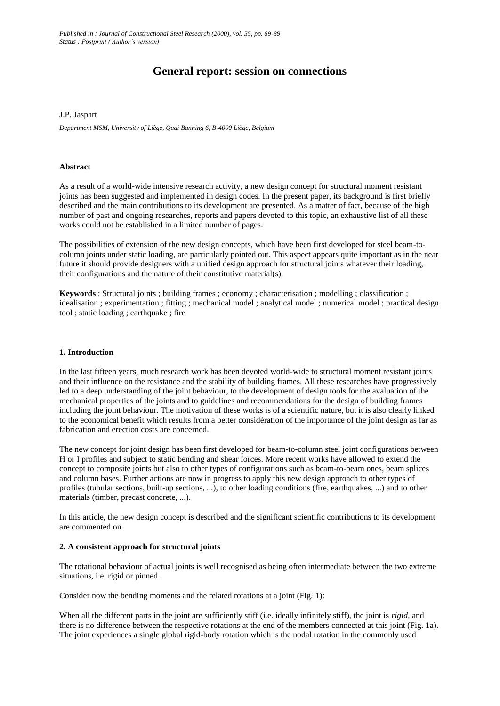# **General report: session on connections**

#### J.P. Jaspart

*Department MSM, University of Liège, Quai Banning 6, B-4000 Liège, Belgium*

## **Abstract**

As a result of a world-wide intensive research activity, a new design concept for structural moment resistant joints has been suggested and implemented in design codes. In the present paper, its background is first briefly described and the main contributions to its development are presented. As a matter of fact, because of the high number of past and ongoing researches, reports and papers devoted to this topic, an exhaustive list of all these works could not be established in a limited number of pages.

The possibilities of extension of the new design concepts, which have been first developed for steel beam-tocolumn joints under static loading, are particularly pointed out. This aspect appears quite important as in the near future it should provide designers with a unified design approach for structural joints whatever their loading, their configurations and the nature of their constitutive material(s).

**Keywords** : Structural joints ; building frames ; economy ; characterisation ; modelling ; classification ; idealisation ; experimentation ; fitting ; mechanical model ; analytical model ; numerical model ; practical design tool ; static loading ; earthquake ; fire

#### **1. Introduction**

In the last fifteen years, much research work has been devoted world-wide to structural moment resistant joints and their influence on the resistance and the stability of building frames. All these researches have progressively led to a deep understanding of the joint behaviour, to the development of design tools for the avaluation of the mechanical properties of the joints and to guidelines and recommendations for the design of building frames including the joint behaviour. The motivation of these works is of a scientific nature, but it is also clearly linked to the economical benefit which results from a better considération of the importance of the joint design as far as fabrication and erection costs are concerned.

The new concept for joint design has been first developed for beam-to-column steel joint configurations between H or I profiles and subject to static bending and shear forces. More recent works have allowed to extend the concept to composite joints but also to other types of configurations such as beam-to-beam ones, beam splices and column bases. Further actions are now in progress to apply this new design approach to other types of profiles (tubular sections, built-up sections, ...), to other loading conditions (fire, earthquakes, ...) and to other materials (timber, precast concrete, ...).

In this article, the new design concept is described and the significant scientific contributions to its development are commented on.

## **2. A consistent approach for structural joints**

The rotational behaviour of actual joints is well recognised as being often intermediate between the two extreme situations, i.e. rigid or pinned.

Consider now the bending moments and the related rotations at a joint (Fig. 1):

When all the different parts in the joint are sufficiently stiff (i.e. ideally infinitely stiff), the joint is *rigid*, and there is no difference between the respective rotations at the end of the members connected at this joint (Fig. 1a). The joint experiences a single global rigid-body rotation which is the nodal rotation in the commonly used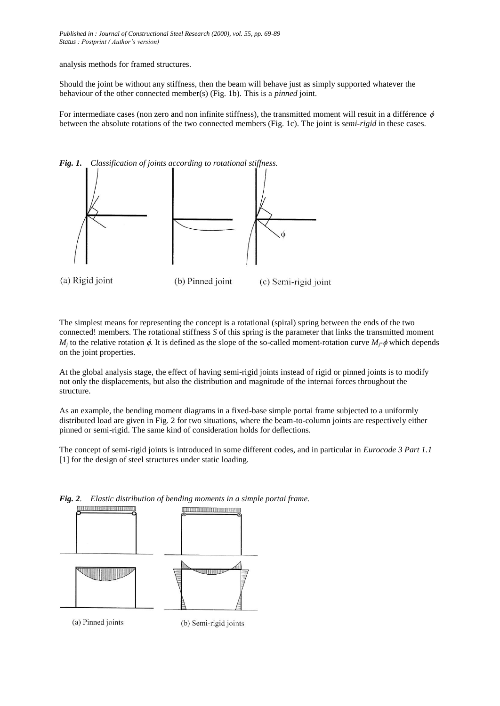analysis methods for framed structures.

Should the joint be without any stiffness, then the beam will behave just as simply supported whatever the behaviour of the other connected member(s) (Fig. 1b). This is a *pinned* joint.

For intermediate cases (non zero and non infinite stiffness), the transmitted moment will resuit in a différence  $\phi$ between the absolute rotations of the two connected members (Fig. 1c). The joint is *semi-rigid* in these cases.



(a) Rigid joint

(b) Pinned joint

(c) Semi-rigid joint

The simplest means for representing the concept is a rotational (spiral) spring between the ends of the two connected! members. The rotational stiffness *S* of this spring is the parameter that links the transmitted moment *M<sub>i</sub>* to the relative rotation  $\phi$ . It is defined as the slope of the so-called moment-rotation curve  $M_j$ - $\phi$  which depends on the joint properties.

At the global analysis stage, the effect of having semi-rigid joints instead of rigid or pinned joints is to modify not only the displacements, but also the distribution and magnitude of the internai forces throughout the structure.

As an example, the bending moment diagrams in a fixed-base simple portai frame subjected to a uniformly distributed load are given in Fig. 2 for two situations, where the beam-to-column joints are respectively either pinned or semi-rigid. The same kind of consideration holds for deflections.

The concept of semi-rigid joints is introduced in some different codes, and in particular in *Eurocode 3 Part 1.1*  [1] for the design of steel structures under static loading.



*Fig. 2. Elastic distribution of bending moments in a simple portai frame.*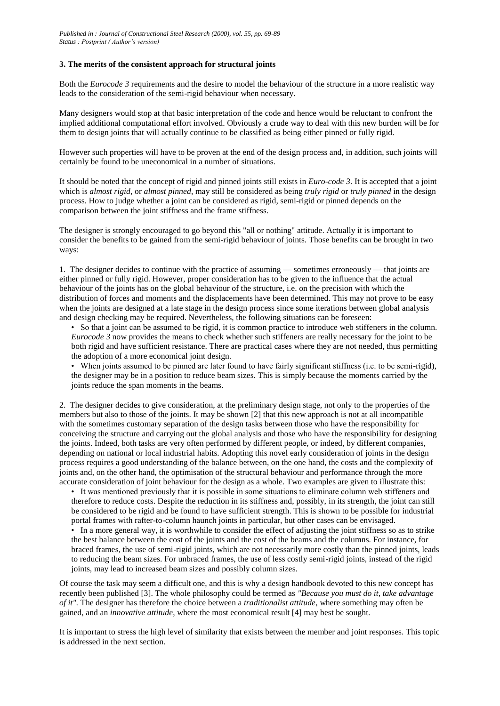## **3. The merits of the consistent approach for structural joints**

Both the *Eurocode 3* requirements and the desire to model the behaviour of the structure in a more realistic way leads to the consideration of the semi-rigid behaviour when necessary.

Many designers would stop at that basic interpretation of the code and hence would be reluctant to confront the implied additional computational effort involved. Obviously a crude way to deal with this new burden will be for them to design joints that will actually continue to be classified as being either pinned or fully rigid.

However such properties will have to be proven at the end of the design process and, in addition, such joints will certainly be found to be uneconomical in a number of situations.

It should be noted that the concept of rigid and pinned joints still exists in *Euro-code 3*. It is accepted that a joint which is *almost rigid*, or *almost pinned*, may still be considered as being *truly rigid* or *truly pinned* in the design process. How to judge whether a joint can be considered as rigid, semi-rigid or pinned depends on the comparison between the joint stiffness and the frame stiffness.

The designer is strongly encouraged to go beyond this "all or nothing" attitude. Actually it is important to consider the benefits to be gained from the semi-rigid behaviour of joints. Those benefits can be brought in two ways:

1. The designer decides to continue with the practice of assuming — sometimes erroneously — that joints are either pinned or fully rigid. However, proper consideration has to be given to the influence that the actual behaviour of the joints has on the global behaviour of the structure, i.e. on the precision with which the distribution of forces and moments and the displacements have been determined. This may not prove to be easy when the joints are designed at a late stage in the design process since some iterations between global analysis and design checking may be required. Nevertheless, the following situations can be foreseen:

• So that a joint can be assumed to be rigid, it is common practice to introduce web stiffeners in the column. *Eurocode 3* now provides the means to check whether such stiffeners are really necessary for the joint to be both rigid and have sufficient resistance. There are practical cases where they are not needed, thus permitting the adoption of a more economical joint design.

• When joints assumed to be pinned are later found to have fairly significant stiffness (i.e. to be semi-rigid), the designer may be in a position to reduce beam sizes. This is simply because the moments carried by the joints reduce the span moments in the beams.

2. The designer decides to give consideration, at the preliminary design stage, not only to the properties of the members but also to those of the joints. It may be shown [2] that this new approach is not at all incompatible with the sometimes customary separation of the design tasks between those who have the responsibility for conceiving the structure and carrying out the global analysis and those who have the responsibility for designing the joints. Indeed, both tasks are very often performed by different people, or indeed, by different companies, depending on national or local industrial habits. Adopting this novel early consideration of joints in the design process requires a good understanding of the balance between, on the one hand, the costs and the complexity of joints and, on the other hand, the optimisation of the structural behaviour and performance through the more accurate consideration of joint behaviour for the design as a whole. Two examples are given to illustrate this:

• It was mentioned previously that it is possible in some situations to eliminate column web stiffeners and therefore to reduce costs. Despite the reduction in its stiffness and, possibly, in its strength, the joint can still be considered to be rigid and be found to have sufficient strength. This is shown to be possible for industrial portal frames with rafter-to-column haunch joints in particular, but other cases can be envisaged.

• In a more general way, it is worthwhile to consider the effect of adjusting the joint stiffness so as to strike the best balance between the cost of the joints and the cost of the beams and the columns. For instance, for braced frames, the use of semi-rigid joints, which are not necessarily more costly than the pinned joints, leads to reducing the beam sizes. For unbraced frames, the use of less costly semi-rigid joints, instead of the rigid joints, may lead to increased beam sizes and possibly column sizes.

Of course the task may seem a difficult one, and this is why a design handbook devoted to this new concept has recently been published [3]. The whole philosophy could be termed as *"Because you must do it, take advantage of it".* The designer has therefore the choice between a *traditionalist attitude*, where something may often be gained, and an *innovative attitude*, where the most economical result [4] may best be sought.

It is important to stress the high level of similarity that exists between the member and joint responses. This topic is addressed in the next section.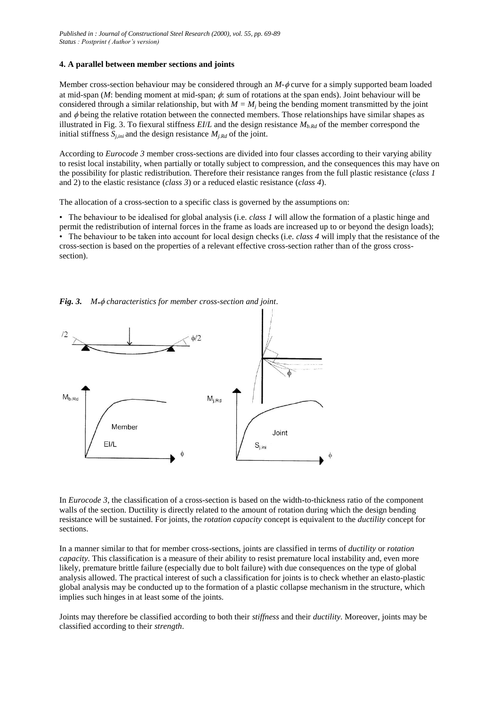## **4. A parallel between member sections and joints**

Member cross-section behaviour may be considered through an  $M-\phi$  curve for a simply supported beam loaded at mid-span  $(M:$  bending moment at mid-span;  $\phi$ : sum of rotations at the span ends). Joint behaviour will be considered through a similar relationship, but with  $M = M_i$  being the bending moment transmitted by the joint and  $\phi$  being the relative rotation between the connected members. Those relationships have similar shapes as illustrated in Fig. 3. To fiexural stiffness *EI*/*L* and the design resistance *Mb.Rd* of the member correspond the initial stiffness  $S_{j,ini}$  and the design resistance  $M_{i,Rd}$  of the joint.

According to *Eurocode 3* member cross-sections are divided into four classes according to their varying ability to resist local instability, when partially or totally subject to compression, and the consequences this may have on the possibility for plastic redistribution. Therefore their resistance ranges from the full plastic resistance (*class 1*  and 2) to the elastic resistance (*class 3*) or a reduced elastic resistance (*class 4*).

The allocation of a cross-section to a specific class is governed by the assumptions on:

• The behaviour to be idealised for global analysis (i.e. *class 1* will allow the formation of a plastic hinge and permit the redistribution of internal forces in the frame as loads are increased up to or beyond the design loads); • The behaviour to be taken into account for local design checks (i.e. *class 4* will imply that the resistance of the cross-section is based on the properties of a relevant effective cross-section rather than of the gross crosssection).





In *Eurocode 3*, the classification of a cross-section is based on the width-to-thickness ratio of the component walls of the section. Ductility is directly related to the amount of rotation during which the design bending resistance will be sustained. For joints, the *rotation capacity* concept is equivalent to the *ductility* concept for sections.

In a manner similar to that for member cross-sections, joints are classified in terms of *ductility* or *rotation capacity*. This classification is a measure of their ability to resist premature local instability and, even more likely, premature brittle failure (especially due to bolt failure) with due consequences on the type of global analysis allowed. The practical interest of such a classification for joints is to check whether an elasto-plastic global analysis may be conducted up to the formation of a plastic collapse mechanism in the structure, which implies such hinges in at least some of the joints.

Joints may therefore be classified according to both their *stiffness* and their *ductility*. Moreover, joints may be classified according to their *strength*.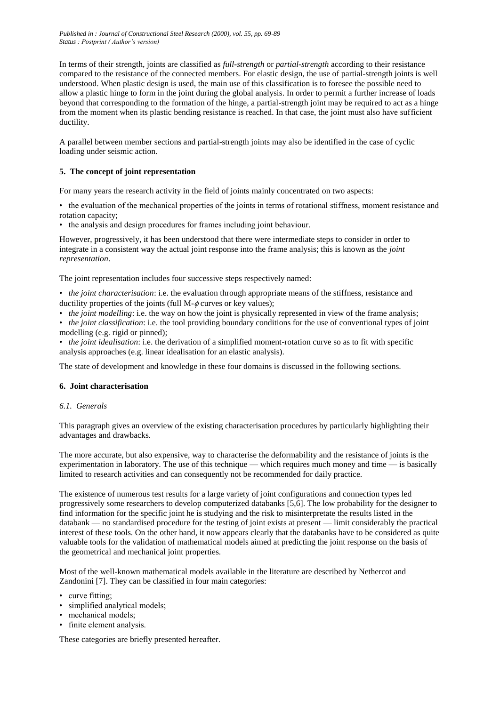In terms of their strength, joints are classified as *full-strength* or *partial-strength* according to their resistance compared to the resistance of the connected members. For elastic design, the use of partial-strength joints is well understood. When plastic design is used, the main use of this classification is to foresee the possible need to allow a plastic hinge to form in the joint during the global analysis. In order to permit a further increase of loads beyond that corresponding to the formation of the hinge, a partial-strength joint may be required to act as a hinge from the moment when its plastic bending resistance is reached. In that case, the joint must also have sufficient ductility.

A parallel between member sections and partial-strength joints may also be identified in the case of cyclic loading under seismic action.

## **5. The concept of joint representation**

For many years the research activity in the field of joints mainly concentrated on two aspects:

• the evaluation of the mechanical properties of the joints in terms of rotational stiffness, moment resistance and rotation capacity;

• the analysis and design procedures for frames including joint behaviour.

However, progressively, it has been understood that there were intermediate steps to consider in order to integrate in a consistent way the actual joint response into the frame analysis; this is known as the *joint representation*.

The joint representation includes four successive steps respectively named:

• *the joint characterisation*: i.e. the evaluation through appropriate means of the stiffness, resistance and ductility properties of the joints (full  $M$ - $\phi$  curves or key values);

• *the joint modelling*: i.e. the way on how the joint is physically represented in view of the frame analysis;

• *the joint classification*: i.e. the tool providing boundary conditions for the use of conventional types of joint modelling (e.g. rigid or pinned);

• *the joint idealisation*: i.e. the derivation of a simplified moment-rotation curve so as to fit with specific analysis approaches (e.g. linear idealisation for an elastic analysis).

The state of development and knowledge in these four domains is discussed in the following sections.

## **6. Joint characterisation**

## *6.1. Generals*

This paragraph gives an overview of the existing characterisation procedures by particularly highlighting their advantages and drawbacks.

The more accurate, but also expensive, way to characterise the deformability and the resistance of joints is the experimentation in laboratory. The use of this technique — which requires much money and time — is basically limited to research activities and can consequently not be recommended for daily practice.

The existence of numerous test results for a large variety of joint configurations and connection types led progressively some researchers to develop computerized databanks [5,6]. The low probability for the designer to find information for the specific joint he is studying and the risk to misinterpretate the results listed in the databank — no standardised procedure for the testing of joint exists at present — limit considerably the practical interest of these tools. On the other hand, it now appears clearly that the databanks have to be considered as quite valuable tools for the validation of mathematical models aimed at predicting the joint response on the basis of the geometrical and mechanical joint properties.

Most of the well-known mathematical models available in the literature are described by Nethercot and Zandonini [7]. They can be classified in four main categories:

- curve fitting;
- simplified analytical models;
- mechanical models;
- finite element analysis.

These categories are briefly presented hereafter.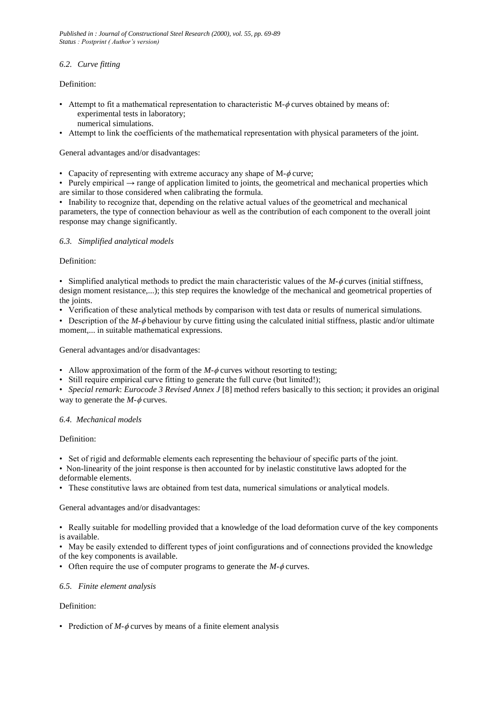## *6.2. Curve fitting*

## Definition:

- Attempt to fit a mathematical representation to characteristic  $M-\phi$  curves obtained by means of: experimental tests in laboratory; numerical simulations.
- Attempt to link the coefficients of the mathematical representation with physical parameters of the joint.

General advantages and/or disadvantages:

- Capacity of representing with extreme accuracy any shape of M- $\phi$  curve;
- Purely empirical  $\rightarrow$  range of application limited to joints, the geometrical and mechanical properties which are similar to those considered when calibrating the formula.

• Inability to recognize that, depending on the relative actual values of the geometrical and mechanical parameters, the type of connection behaviour as well as the contribution of each component to the overall joint response may change significantly.

## *6.3. Simplified analytical models*

## Definition:

• Simplified analytical methods to predict the main characteristic values of the  $M$ - $\phi$  curves (initial stiffness, design moment resistance,...); this step requires the knowledge of the mechanical and geometrical properties of the joints.

• Verification of these analytical methods by comparison with test data or results of numerical simulations.

• Description of the  $M$ - $\phi$  behaviour by curve fitting using the calculated initial stiffness, plastic and/or ultimate moment,... in suitable mathematical expressions.

General advantages and/or disadvantages:

- Allow approximation of the form of the  $M$ - $\phi$  curves without resorting to testing;
- Still require empirical curve fitting to generate the full curve (but limited!);

• *Special remark*: *Eurocode 3 Revised Annex J* [8] method refers basically to this section; it provides an original way to generate the  $M$ - $\phi$  curves.

## *6.4. Mechanical models*

## Definition:

• Set of rigid and deformable elements each representing the behaviour of specific parts of the joint.

• Non-linearity of the joint response is then accounted for by inelastic constitutive laws adopted for the deformable elements.

• These constitutive laws are obtained from test data, numerical simulations or analytical models.

General advantages and/or disadvantages:

• Really suitable for modelling provided that a knowledge of the load deformation curve of the key components is available.

• May be easily extended to different types of joint configurations and of connections provided the knowledge of the key components is available.

• Often require the use of computer programs to generate the  $M$ - $\phi$  curves.

## *6.5. Finite element analysis*

## Definition:

• Prediction of  $M$ - $\phi$  curves by means of a finite element analysis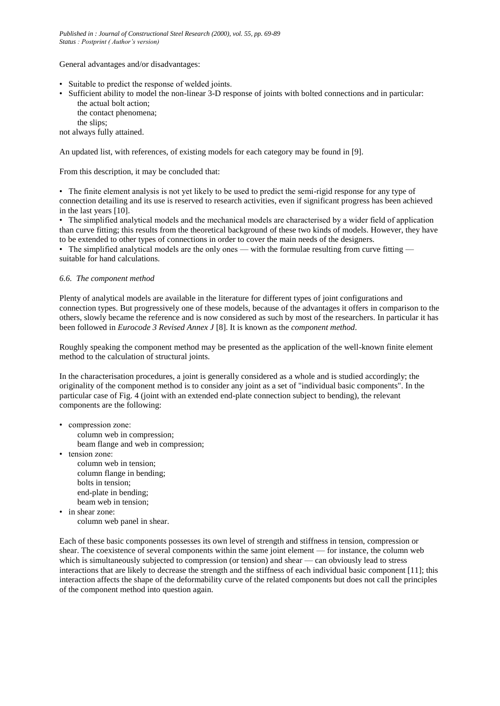General advantages and/or disadvantages:

- Suitable to predict the response of welded joints.
- Sufficient ability to model the non-linear 3-D response of joints with bolted connections and in particular: the actual bolt action;
	- the contact phenomena;
	- the slips;

not always fully attained.

An updated list, with references, of existing models for each category may be found in [9].

From this description, it may be concluded that:

• The finite element analysis is not yet likely to be used to predict the semi-rigid response for any type of connection detailing and its use is reserved to research activities, even if significant progress has been achieved in the last years [10].

• The simplified analytical models and the mechanical models are characterised by a wider field of application than curve fitting; this results from the theoretical background of these two kinds of models. However, they have to be extended to other types of connections in order to cover the main needs of the designers.

• The simplified analytical models are the only ones — with the formulae resulting from curve fitting suitable for hand calculations.

## *6.6. The component method*

Plenty of analytical models are available in the literature for different types of joint configurations and connection types. But progressively one of these models, because of the advantages it offers in comparison to the others, slowly became the reference and is now considered as such by most of the researchers. In particular it has been followed in *Eurocode 3 Revised Annex J* [8]. It is known as the *component method*.

Roughly speaking the component method may be presented as the application of the well-known finite element method to the calculation of structural joints.

In the characterisation procedures, a joint is generally considered as a whole and is studied accordingly; the originality of the component method is to consider any joint as a set of "individual basic components". In the particular case of Fig. 4 (joint with an extended end-plate connection subject to bending), the relevant components are the following:

• compression zone:

column web in compression;

beam flange and web in compression;

• tension zone:

column web in tension; column flange in bending; bolts in tension; end-plate in bending; beam web in tension;

• in shear zone:

column web panel in shear.

Each of these basic components possesses its own level of strength and stiffness in tension, compression or shear. The coexistence of several components within the same joint element — for instance, the column web which is simultaneously subjected to compression (or tension) and shear — can obviously lead to stress interactions that are likely to decrease the strength and the stiffness of each individual basic component [11]; this interaction affects the shape of the deformability curve of the related components but does not call the principles of the component method into question again.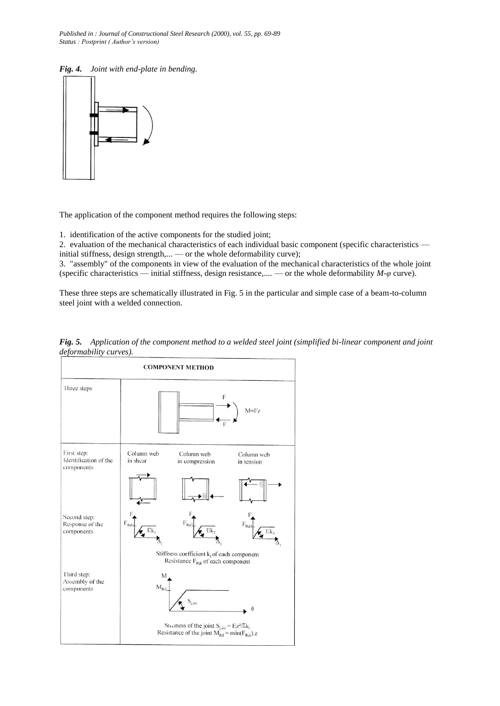



The application of the component method requires the following steps:

1. identification of the active components for the studied joint;

2. evaluation of the mechanical characteristics of each individual basic component (specific characteristics initial stiffness, design strength,... — or the whole deformability curve);

3. "assembly" of the components in view of the evaluation of the mechanical characteristics of the whole joint (specific characteristics — initial stiffness, design resistance,.... — or the whole deformability *M*-*φ* curve).

These three steps are schematically illustrated in Fig. 5 in the particular and simple case of a beam-to-column steel joint with a welded connection.



*Fig. 5. Application of the component method to a welded steel joint (simplified bi-linear component and joint deformability curves).*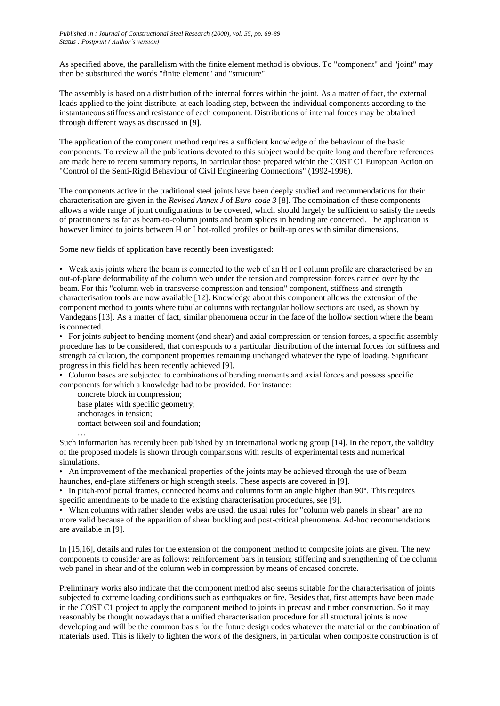As specified above, the parallelism with the finite element method is obvious. To "component" and "joint" may then be substituted the words "finite element" and "structure".

The assembly is based on a distribution of the internal forces within the joint. As a matter of fact, the external loads applied to the joint distribute, at each loading step, between the individual components according to the instantaneous stiffness and resistance of each component. Distributions of internal forces may be obtained through different ways as discussed in [9].

The application of the component method requires a sufficient knowledge of the behaviour of the basic components. To review all the publications devoted to this subject would be quite long and therefore references are made here to recent summary reports, in particular those prepared within the COST C1 European Action on "Control of the Semi-Rigid Behaviour of Civil Engineering Connections" (1992-1996).

The components active in the traditional steel joints have been deeply studied and recommendations for their characterisation are given in the *Revised Annex J* of *Euro-code 3* [8]. The combination of these components allows a wide range of joint configurations to be covered, which should largely be sufficient to satisfy the needs of practitioners as far as beam-to-column joints and beam splices in bending are concerned. The application is however limited to joints between H or I hot-rolled profiles or built-up ones with similar dimensions.

Some new fields of application have recently been investigated:

• Weak axis joints where the beam is connected to the web of an H or I column profile are characterised by an out-of-plane deformability of the column web under the tension and compression forces carried over by the beam. For this "column web in transverse compression and tension" component, stiffness and strength characterisation tools are now available [12]. Knowledge about this component allows the extension of the component method to joints where tubular columns with rectangular hollow sections are used, as shown by Vandegans [13]. As a matter of fact, similar phenomena occur in the face of the hollow section where the beam is connected.

• For joints subject to bending moment (and shear) and axial compression or tension forces, a specific assembly procedure has to be considered, that corresponds to a particular distribution of the internal forces for stiffness and strength calculation, the component properties remaining unchanged whatever the type of loading. Significant progress in this field has been recently achieved [9].

• Column bases are subjected to combinations of bending moments and axial forces and possess specific components for which a knowledge had to be provided. For instance:

concrete block in compression; base plates with specific geometry; anchorages in tension; contact between soil and foundation;

… Such information has recently been published by an international working group [14]. In the report, the validity of the proposed models is shown through comparisons with results of experimental tests and numerical simulations.

• An improvement of the mechanical properties of the joints may be achieved through the use of beam haunches, end-plate stiffeners or high strength steels. These aspects are covered in [9].

• In pitch-roof portal frames, connected beams and columns form an angle higher than 90°. This requires specific amendments to be made to the existing characterisation procedures, see [9].

• When columns with rather slender webs are used, the usual rules for "column web panels in shear" are no more valid because of the apparition of shear buckling and post-critical phenomena. Ad-hoc recommendations are available in [9].

In [15,16], details and rules for the extension of the component method to composite joints are given. The new components to consider are as follows: reinforcement bars in tension; stiffening and strengthening of the column web panel in shear and of the column web in compression by means of encased concrete.

Preliminary works also indicate that the component method also seems suitable for the characterisation of joints subjected to extreme loading conditions such as earthquakes or fire. Besides that, first attempts have been made in the COST C1 project to apply the component method to joints in precast and timber construction. So it may reasonably be thought nowadays that a unified characterisation procedure for all structural joints is now developing and will be the common basis for the future design codes whatever the material or the combination of materials used. This is likely to lighten the work of the designers, in particular when composite construction is of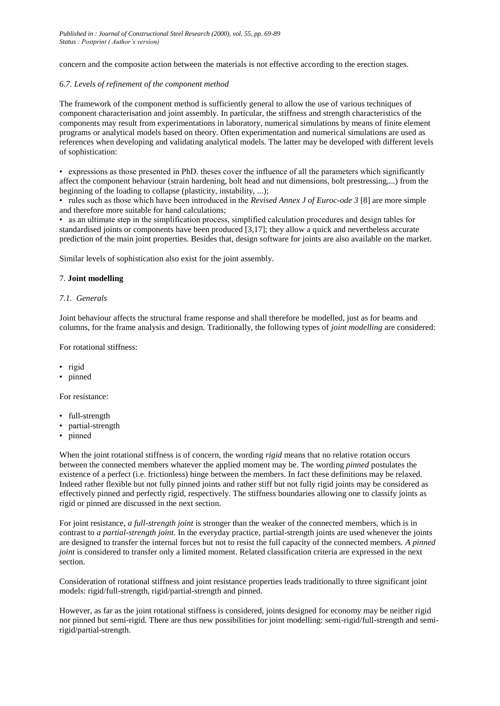concern and the composite action between the materials is not effective according to the erection stages.

## *6.7. Levels of refinement of the component method*

The framework of the component method is sufficiently general to allow the use of various techniques of component characterisation and joint assembly. In particular, the stiffness and strength characteristics of the components may result from experimentations in laboratory, numerical simulations by means of finite element programs or analytical models based on theory. Often experimentation and numerical simulations are used as references when developing and validating analytical models. The latter may be developed with different levels of sophistication:

• expressions as those presented in PhD. theses cover the influence of all the parameters which significantly affect the component behaviour (strain hardening, bolt head and nut dimensions, bolt prestressing,...) from the beginning of the loading to collapse (plasticity, instability, ...);

• rules such as those which have been introduced in the *Revised Annex J of Euroc-ode 3* [8] are more simple and therefore more suitable for hand calculations;

• as an ultimate step in the simplification process, simplified calculation procedures and design tables for standardised joints or components have been produced [3,17]; they allow a quick and nevertheless accurate prediction of the main joint properties. Besides that, design software for joints are also available on the market.

Similar levels of sophistication also exist for the joint assembly.

## 7. **Joint modelling**

## *7.1. Generals*

Joint behaviour affects the structural frame response and shall therefore be modelled, just as for beams and columns, for the frame analysis and design. Traditionally, the following types of *joint modelling* are considered:

For rotational stiffness:

- rigid
- pinned

For resistance:

- full-strength
- partial-strength
- pinned

When the joint rotational stiffness is of concern, the wording *rigid* means that no relative rotation occurs between the connected members whatever the applied moment may be. The wording *pinned* postulates the existence of a perfect (i.e. frictionless) hinge between the members. In fact these definitions may be relaxed. Indeed rather flexible but not fully pinned joints and rather stiff but not fully rigid joints may be considered as effectively pinned and perfectly rigid, respectively. The stiffness boundaries allowing one to classify joints as rigid or pinned are discussed in the next section.

For joint resistance, *a full-strength joint* is stronger than the weaker of the connected members, which is in contrast to *a partial-strength joint.* In the everyday practice, partial-strength joints are used whenever the joints are designed to transfer the internal forces but not to resist the full capacity of the connected members. *A pinned joint* is considered to transfer only a limited moment. Related classification criteria are expressed in the next section.

Consideration of rotational stiffness and joint resistance properties leads traditionally to three significant joint models: rigid/full-strength, rigid/partial-strength and pinned.

However, as far as the joint rotational stiffness is considered, joints designed for economy may be neither rigid nor pinned but semi-rigid. There are thus new possibilities for joint modelling: semi-rigid/full-strength and semirigid/partial-strength.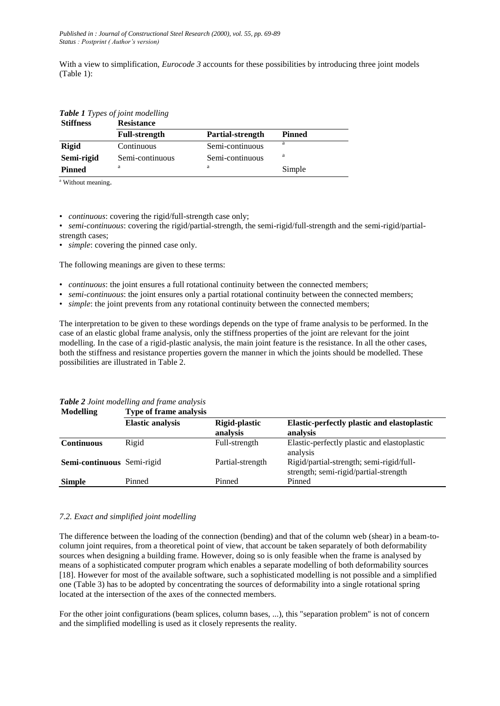With a view to simplification, *Eurocode 3* accounts for these possibilities by introducing three joint models (Table 1):

#### *Table 1 Types of joint modelling* **Stiffness Resistance**

| эшпезу        | resistance           |                         |               |  |  |
|---------------|----------------------|-------------------------|---------------|--|--|
|               | <b>Full-strength</b> | <b>Partial-strength</b> | <b>Pinned</b> |  |  |
| <b>Rigid</b>  | Continuous           | Semi-continuous         | a             |  |  |
| Semi-rigid    | Semi-continuous      | Semi-continuous         | a             |  |  |
| <b>Pinned</b> | a                    | a                       | Simple        |  |  |

<sup>a</sup> Without meaning.

• *continuous*: covering the rigid/full-strength case only;

• *semi-continuous*: covering the rigid/partial-strength, the semi-rigid/full-strength and the semi-rigid/partial-

strength cases;

• *simple*: covering the pinned case only.

The following meanings are given to these terms:

- *continuous*: the joint ensures a full rotational continuity between the connected members;
- *semi-continuous*: the joint ensures only a partial rotational continuity between the connected members;
- *simple*: the joint prevents from any rotational continuity between the connected members;

The interpretation to be given to these wordings depends on the type of frame analysis to be performed. In the case of an elastic global frame analysis, only the stiffness properties of the joint are relevant for the joint modelling. In the case of a rigid-plastic analysis, the main joint feature is the resistance. In all the other cases, both the stiffness and resistance properties govern the manner in which the joints should be modelled. These possibilities are illustrated in Table 2.

| <b>Modelling</b>           | <b>Type of frame analysis</b> |                           |                                                                                   |  |  |
|----------------------------|-------------------------------|---------------------------|-----------------------------------------------------------------------------------|--|--|
|                            | <b>Elastic analysis</b>       | Rigid-plastic<br>analysis | Elastic-perfectly plastic and elastoplastic<br>analysis                           |  |  |
| <b>Continuous</b>          | Rigid                         | Full-strength             | Elastic-perfectly plastic and elastoplastic<br>analysis                           |  |  |
| Semi-continuous Semi-rigid |                               | Partial-strength          | Rigid/partial-strength; semi-rigid/full-<br>strength; semi-rigid/partial-strength |  |  |
| <b>Simple</b>              | Pinned                        | Pinned                    | Pinned                                                                            |  |  |

*Table 2 Joint modelling and frame analysis*

## *7.2. Exact and simplified joint modelling*

The difference between the loading of the connection (bending) and that of the column web (shear) in a beam-tocolumn joint requires, from a theoretical point of view, that account be taken separately of both deformability sources when designing a building frame. However, doing so is only feasible when the frame is analysed by means of a sophisticated computer program which enables a separate modelling of both deformability sources [18]. However for most of the available software, such a sophisticated modelling is not possible and a simplified one (Table 3) has to be adopted by concentrating the sources of deformability into a single rotational spring located at the intersection of the axes of the connected members.

For the other joint configurations (beam splices, column bases, ...), this "separation problem" is not of concern and the simplified modelling is used as it closely represents the reality.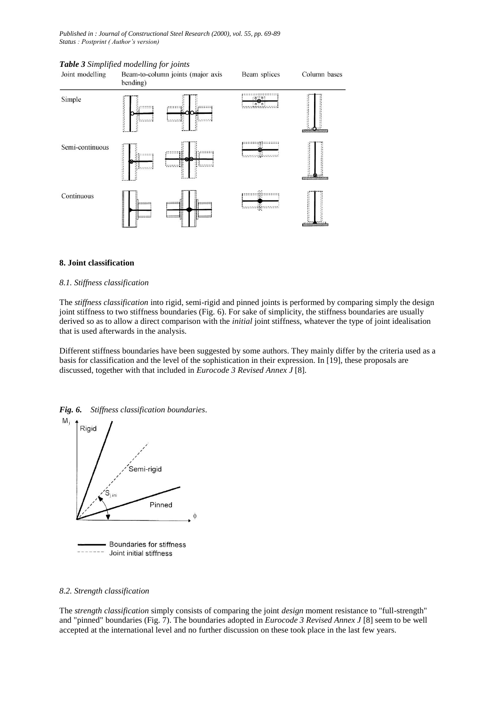

#### **8. Joint classification**

## *8.1. Stiffness classification*

The *stiffness classification* into rigid, semi-rigid and pinned joints is performed by comparing simply the design joint stiffness to two stiffness boundaries (Fig. 6). For sake of simplicity, the stiffness boundaries are usually derived so as to allow a direct comparison with the *initial* joint stiffness, whatever the type of joint idealisation that is used afterwards in the analysis.

Different stiffness boundaries have been suggested by some authors. They mainly differ by the criteria used as a basis for classification and the level of the sophistication in their expression. In [19], these proposals are discussed, together with that included in *Eurocode 3 Revised Annex J* [8].





#### *8.2. Strength classification*

The *strength classification* simply consists of comparing the joint *design* moment resistance to "full-strength" and "pinned" boundaries (Fig. 7). The boundaries adopted in *Eurocode 3 Revised Annex J* [8] seem to be well accepted at the international level and no further discussion on these took place in the last few years.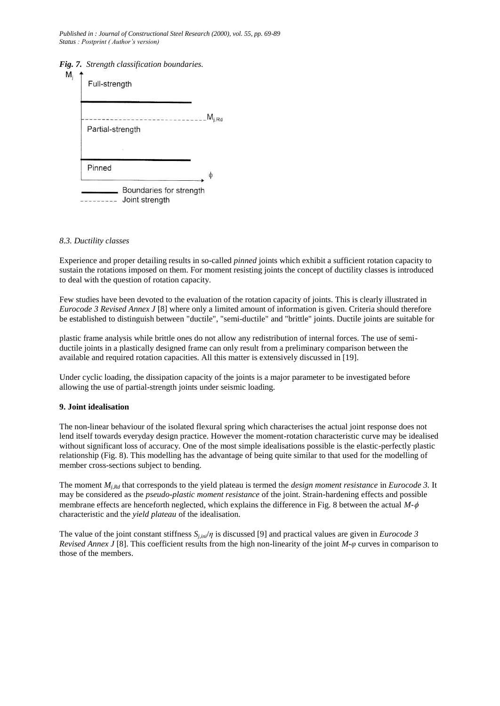*Fig. 7. Strength classification boundaries.*

| $M_i$ | Full-strength                             |             |
|-------|-------------------------------------------|-------------|
|       | Partial-strength                          | $M_{i, Rd}$ |
|       | Pinned                                    | Φ           |
|       | Boundaries for strength<br>Joint strength |             |

#### *8.3. Ductility classes*

Experience and proper detailing results in so-called *pinned* joints which exhibit a sufficient rotation capacity to sustain the rotations imposed on them. For moment resisting joints the concept of ductility classes is introduced to deal with the question of rotation capacity.

Few studies have been devoted to the evaluation of the rotation capacity of joints. This is clearly illustrated in *Eurocode 3 Revised Annex J* [8] where only a limited amount of information is given. Criteria should therefore be established to distinguish between "ductile", "semi-ductile" and "brittle" joints. Ductile joints are suitable for

plastic frame analysis while brittle ones do not allow any redistribution of internal forces. The use of semiductile joints in a plastically designed frame can only result from a preliminary comparison between the available and required rotation capacities. All this matter is extensively discussed in [19].

Under cyclic loading, the dissipation capacity of the joints is a major parameter to be investigated before allowing the use of partial-strength joints under seismic loading.

## **9. Joint idealisation**

The non-linear behaviour of the isolated flexural spring which characterises the actual joint response does not lend itself towards everyday design practice. However the moment-rotation characteristic curve may be idealised without significant loss of accuracy. One of the most simple idealisations possible is the elastic-perfectly plastic relationship (Fig. 8). This modelling has the advantage of being quite similar to that used for the modelling of member cross-sections subject to bending.

The moment *Mj,Rd* that corresponds to the yield plateau is termed the *design moment resistance* in *Eurocode 3.* It may be considered as the *pseudo-plastic moment resistance* of the joint. Strain-hardening effects and possible membrane effects are henceforth neglected, which explains the difference in Fig. 8 between the actual  $M-\phi$ characteristic and the *yield plateau* of the idealisation.

The value of the joint constant stiffness *Sj,ini*/*η* is discussed [9] and practical values are given in *Eurocode 3 Revised Annex J* [8]. This coefficient results from the high non-linearity of the joint *M-φ* curves in comparison to those of the members.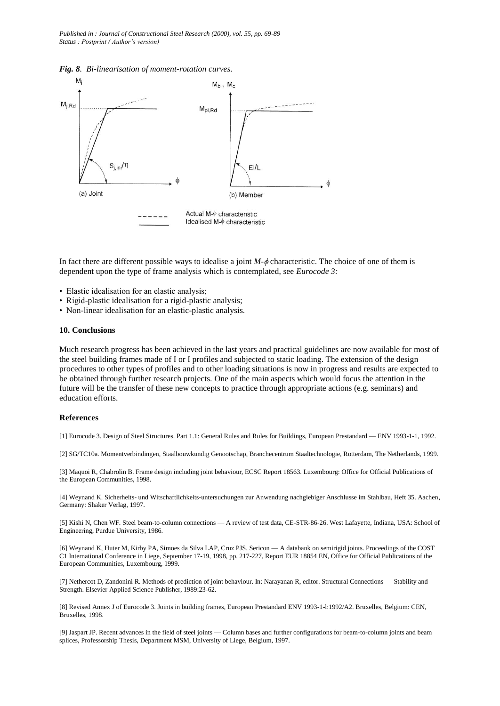



In fact there are different possible ways to idealise a joint  $M-\phi$  characteristic. The choice of one of them is dependent upon the type of frame analysis which is contemplated, see *Eurocode 3:*

- Elastic idealisation for an elastic analysis;
- Rigid-plastic idealisation for a rigid-plastic analysis;
- Non-linear idealisation for an elastic-plastic analysis.

#### **10. Conclusions**

Much research progress has been achieved in the last years and practical guidelines are now available for most of the steel building frames made of I or I profiles and subjected to static loading. The extension of the design procedures to other types of profiles and to other loading situations is now in progress and results are expected to be obtained through further research projects. One of the main aspects which would focus the attention in the future will be the transfer of these new concepts to practice through appropriate actions (e.g. seminars) and education efforts.

#### **References**

[1] Eurocode 3. Design of Steel Structures. Part 1.1: General Rules and Rules for Buildings, European Prestandard — ENV 1993-1-1, 1992.

[2] SG/TC10a. Momentverbindingen, Staalbouwkundig Genootschap, Branchecentrum Staaltechnologie, Rotterdam, The Netherlands, 1999.

[3] Maquoi R, Chabrolin B. Frame design including joint behaviour, ECSC Report 18563. Luxembourg: Office for Official Publications of the European Communities, 1998.

[4] Weynand K. Sicherheits- und Witschaftlichkeits-untersuchungen zur Anwendung nachgiebiger Anschlusse im Stahlbau, Heft 35. Aachen, Germany: Shaker Verlag, 1997.

[5] Kishi N, Chen WF. Steel beam-to-column connections — A review of test data, CE-STR-86-26. West Lafayette, Indiana, USA: School of Engineering, Purdue University, 1986.

[6] Weynand K, Huter M, Kirby PA, Simoes da Silva LAP, Cruz PJS. Sericon — A databank on semirigid joints. Proceedings of the COST C1 International Conference in Liege, September 17-19, 1998, pp. 217-227, Report EUR 18854 EN, Office for Official Publications of the European Communities, Luxembourg, 1999.

[7] Nethercot D, Zandonini R. Methods of prediction of joint behaviour. In: Narayanan R, editor. Structural Connections — Stability and Strength. Elsevier Applied Science Publisher, 1989:23-62.

[8] Revised Annex J of Eurocode 3. Joints in building frames, European Prestandard ENV 1993-1-l:1992/A2. Bruxelles, Belgium: CEN, Bruxelles, 1998.

[9] Jaspart JP. Recent advances in the field of steel joints — Column bases and further configurations for beam-to-column joints and beam splices, Professorship Thesis, Department MSM, University of Liege, Belgium, 1997.